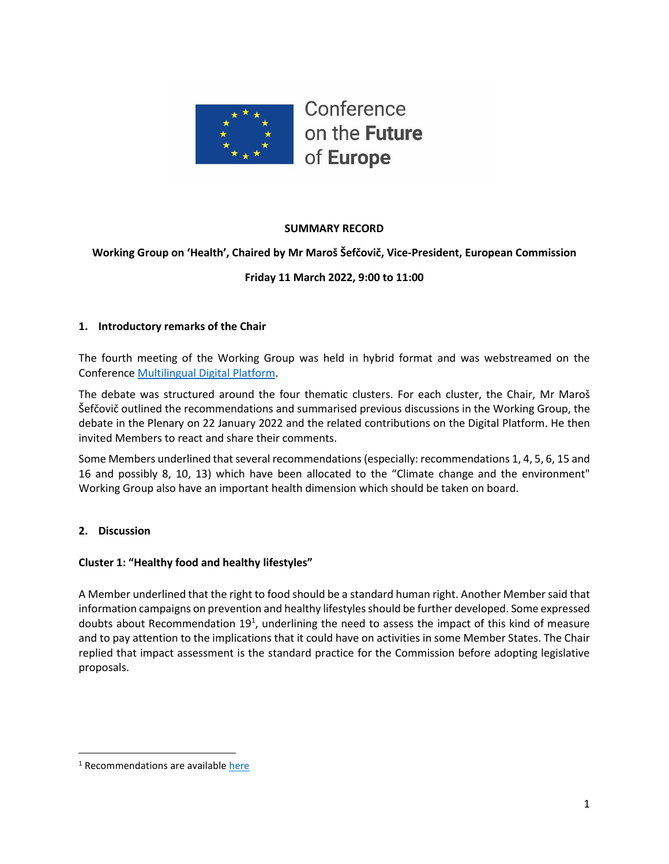

## **SUMMARY RECORD**

## **Working Group on 'Health', Chaired by Mr Maroš Šefčovič, Vice-President, European Commission**

## **Friday 11 March 2022, 9:00 to 11:00**

#### **1. Introductory remarks of the Chair**

The fourth meeting of the Working Group was held in hybrid format and was webstreamed on the Conference [Multilingual Digital Platform.](https://multimedia.europarl.europa.eu/webstreaming/conference-on-future-of-europe-workgroup-on-health_20220121-1400-SPECIAL-OTHER-2)

The debate was structured around the four thematic clusters. For each cluster, the Chair, Mr Maroš Šefčovič outlined the recommendations and summarised previous discussions in the Working Group, the debate in the Plenary on 22 January 2022 and the related contributions on the Digital Platform. He then invited Members to react and share their comments.

Some Members underlined that several recommendations (especially: recommendations 1, 4, 5, 6, 15 and 16 and possibly 8, 10, 13) which have been allocated to the "Climate change and the environment" Working Group also have an important health dimension which should be taken on board.

## **2. Discussion**

#### **Cluster 1: "Healthy food and healthy lifestyles"**

A Member underlined that the right to food should be a standard human right. Another Member said that information campaigns on prevention and healthy lifestyles should be further developed. Some expressed doubts about Recommendation 19<sup>1</sup>, underlining the need to assess the impact of this kind of measure and to pay attention to the implications that it could have on activities in some Member States. The Chair replied that impact assessment is the standard practice for the Commission before adopting legislative proposals.

<sup>&</sup>lt;sup>1</sup> Recommendations are available [here](https://futureu.europa.eu/assemblies/citizens-panels/f/300/)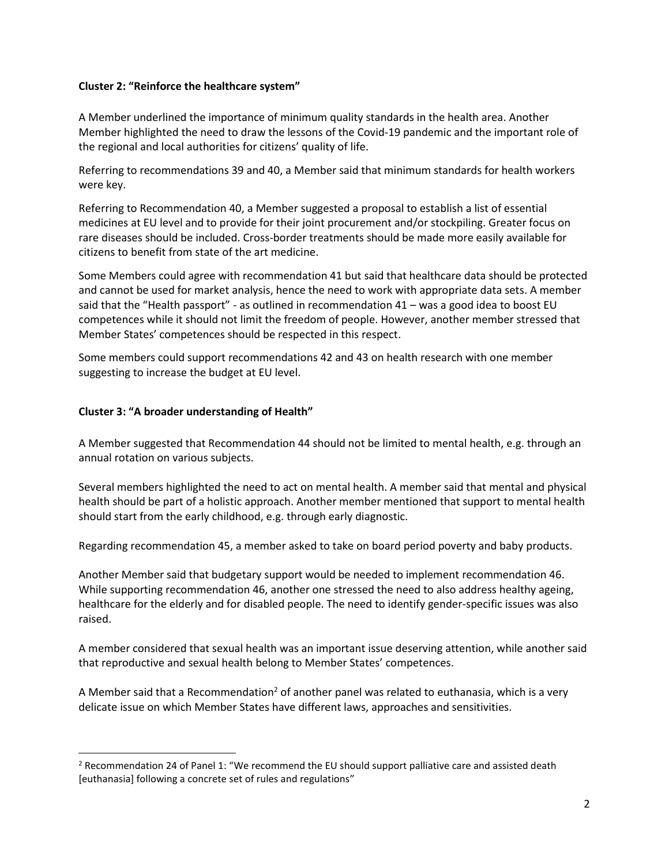#### **Cluster 2: "Reinforce the healthcare system"**

A Member underlined the importance of minimum quality standards in the health area. Another Member highlighted the need to draw the lessons of the Covid-19 pandemic and the important role of the regional and local authorities for citizens' quality of life.

Referring to recommendations 39 and 40, a Member said that minimum standards for health workers were key.

Referring to Recommendation 40, a Member suggested a proposal to establish a list of essential medicines at EU level and to provide for their joint procurement and/or stockpiling. Greater focus on rare diseases should be included. Cross-border treatments should be made more easily available for citizens to benefit from state of the art medicine.

Some Members could agree with recommendation 41 but said that healthcare data should be protected and cannot be used for market analysis, hence the need to work with appropriate data sets. A member said that the "Health passport" - as outlined in recommendation 41 – was a good idea to boost EU competences while it should not limit the freedom of people. However, another member stressed that Member States' competences should be respected in this respect.

Some members could support recommendations 42 and 43 on health research with one member suggesting to increase the budget at EU level.

### **Cluster 3: "A broader understanding of Health"**

A Member suggested that Recommendation 44 should not be limited to mental health, e.g. through an annual rotation on various subjects.

Several members highlighted the need to act on mental health. A member said that mental and physical health should be part of a holistic approach. Another member mentioned that support to mental health should start from the early childhood, e.g. through early diagnostic.

Regarding recommendation 45, a member asked to take on board period poverty and baby products.

Another Member said that budgetary support would be needed to implement recommendation 46. While supporting recommendation 46, another one stressed the need to also address healthy ageing, healthcare for the elderly and for disabled people. The need to identify gender-specific issues was also raised.

A member considered that sexual health was an important issue deserving attention, while another said that reproductive and sexual health belong to Member States' competences.

A Member said that a Recommendation<sup>2</sup> of another panel was related to euthanasia, which is a very delicate issue on which Member States have different laws, approaches and sensitivities.

 $<sup>2</sup>$  Recommendation 24 of Panel 1: "We recommend the EU should support palliative care and assisted death</sup> [euthanasia] following a concrete set of rules and regulations"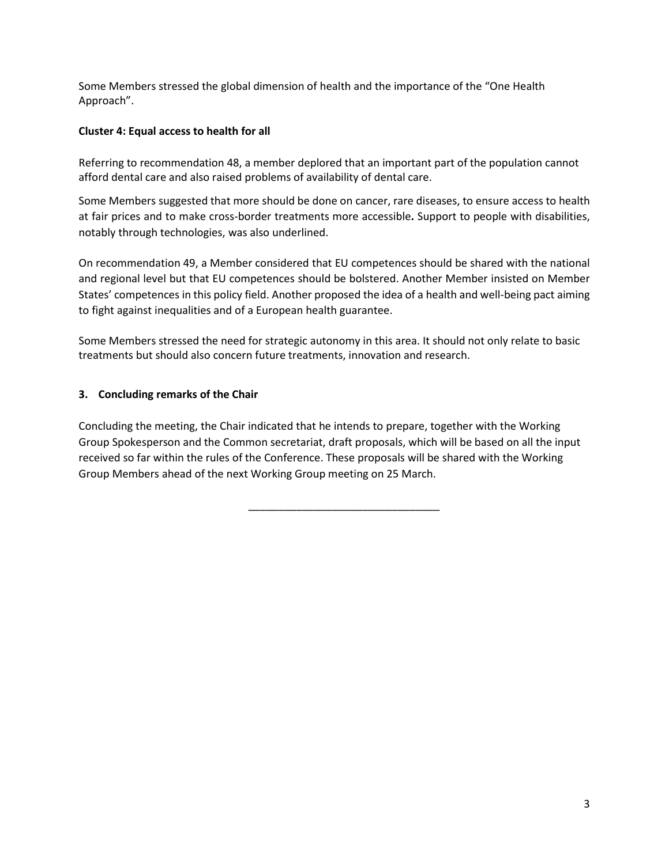Some Members stressed the global dimension of health and the importance of the "One Health Approach".

### **Cluster 4: Equal access to health for all**

Referring to recommendation 48, a member deplored that an important part of the population cannot afford dental care and also raised problems of availability of dental care.

Some Members suggested that more should be done on cancer, rare diseases, to ensure access to health at fair prices and to make cross-border treatments more accessible**.** Support to people with disabilities, notably through technologies, was also underlined.

On recommendation 49, a Member considered that EU competences should be shared with the national and regional level but that EU competences should be bolstered. Another Member insisted on Member States' competences in this policy field. Another proposed the idea of a health and well-being pact aiming to fight against inequalities and of a European health guarantee.

Some Members stressed the need for strategic autonomy in this area. It should not only relate to basic treatments but should also concern future treatments, innovation and research.

## **3. Concluding remarks of the Chair**

Concluding the meeting, the Chair indicated that he intends to prepare, together with the Working Group Spokesperson and the Common secretariat, draft proposals, which will be based on all the input received so far within the rules of the Conference. These proposals will be shared with the Working Group Members ahead of the next Working Group meeting on 25 March.

\_\_\_\_\_\_\_\_\_\_\_\_\_\_\_\_\_\_\_\_\_\_\_\_\_\_\_\_\_\_\_\_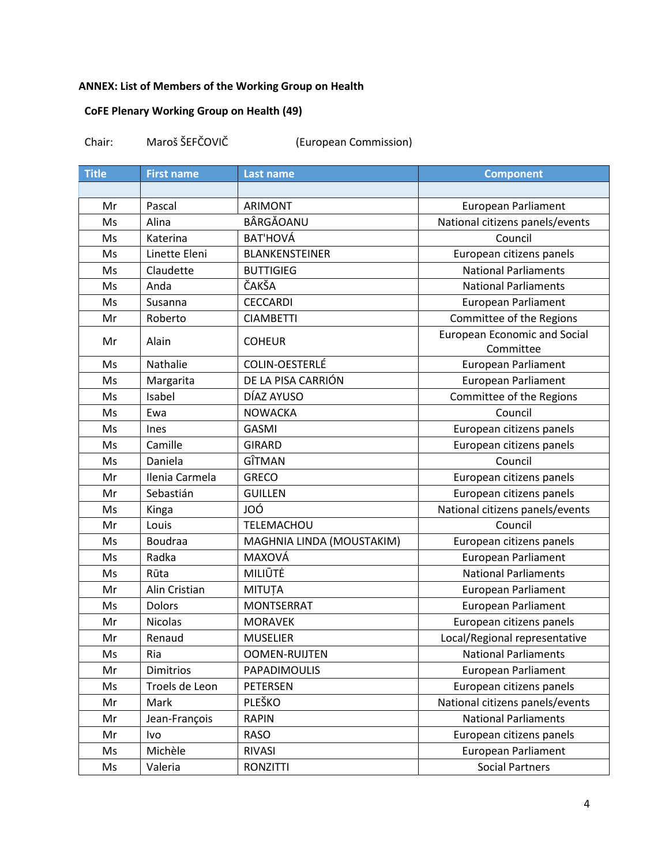# **ANNEX: List of Members of the Working Group on Health**

# **CoFE Plenary Working Group on Health (49)**

| Chair: | Maroš ŠEFČOVIČ | (European Commission) |
|--------|----------------|-----------------------|
|--------|----------------|-----------------------|

| <b>Title</b> | <b>First name</b> | <b>Last name</b>          | <b>Component</b>                                 |
|--------------|-------------------|---------------------------|--------------------------------------------------|
|              |                   |                           |                                                  |
| Mr           | Pascal            | <b>ARIMONT</b>            | <b>European Parliament</b>                       |
| Ms           | Alina             | BÂRGĂOANU                 | National citizens panels/events                  |
| Ms           | Katerina          | <b>BAT'HOVÁ</b>           | Council                                          |
| Ms           | Linette Eleni     | <b>BLANKENSTEINER</b>     | European citizens panels                         |
| Ms           | Claudette         | <b>BUTTIGIEG</b>          | <b>National Parliaments</b>                      |
| Ms           | Anda              | ČAKŠA                     | <b>National Parliaments</b>                      |
| Ms           | Susanna           | <b>CECCARDI</b>           | <b>European Parliament</b>                       |
| Mr           | Roberto           | <b>CIAMBETTI</b>          | Committee of the Regions                         |
| Mr           | Alain             | <b>COHEUR</b>             | <b>European Economic and Social</b><br>Committee |
| Ms           | Nathalie          | COLIN-OESTERLÉ            | <b>European Parliament</b>                       |
| Ms           | Margarita         | DE LA PISA CARRIÓN        | <b>European Parliament</b>                       |
| Ms           | Isabel            | DÍAZ AYUSO                | Committee of the Regions                         |
| Ms           | Ewa               | <b>NOWACKA</b>            | Council                                          |
| Ms           | Ines              | <b>GASMI</b>              | European citizens panels                         |
| Ms           | Camille           | <b>GIRARD</b>             | European citizens panels                         |
| Ms           | Daniela           | GÎTMAN                    | Council                                          |
| Mr           | Ilenia Carmela    | <b>GRECO</b>              | European citizens panels                         |
| Mr           | Sebastián         | <b>GUILLEN</b>            | European citizens panels                         |
| Ms           | Kinga             | JOÓ                       | National citizens panels/events                  |
| Mr           | Louis             | TELEMACHOU                | Council                                          |
| Ms           | Boudraa           | MAGHNIA LINDA (MOUSTAKIM) | European citizens panels                         |
| Ms           | Radka             | MAXOVÁ                    | <b>European Parliament</b>                       |
| Ms           | Rūta              | MILIŪTĖ                   | <b>National Parliaments</b>                      |
| Mr           | Alin Cristian     | <b>MITUȚA</b>             | <b>European Parliament</b>                       |
| Ms           | <b>Dolors</b>     | <b>MONTSERRAT</b>         | <b>European Parliament</b>                       |
| Mr           | <b>Nicolas</b>    | <b>MORAVEK</b>            | European citizens panels                         |
| Mr           | Renaud            | <b>MUSELIER</b>           | Local/Regional representative                    |
| Ms           | Ria               | <b>OOMEN-RUIJTEN</b>      | <b>National Parliaments</b>                      |
| Mr           | Dimitrios         | PAPADIMOULIS              | <b>European Parliament</b>                       |
| Ms           | Troels de Leon    | <b>PETERSEN</b>           | European citizens panels                         |
| Mr           | Mark              | PLEŠKO                    | National citizens panels/events                  |
| Mr           | Jean-François     | <b>RAPIN</b>              | <b>National Parliaments</b>                      |
| Mr           | Ivo               | <b>RASO</b>               | European citizens panels                         |
| Ms           | Michèle           | <b>RIVASI</b>             | <b>European Parliament</b>                       |
| Ms           | Valeria           | <b>RONZITTI</b>           | <b>Social Partners</b>                           |